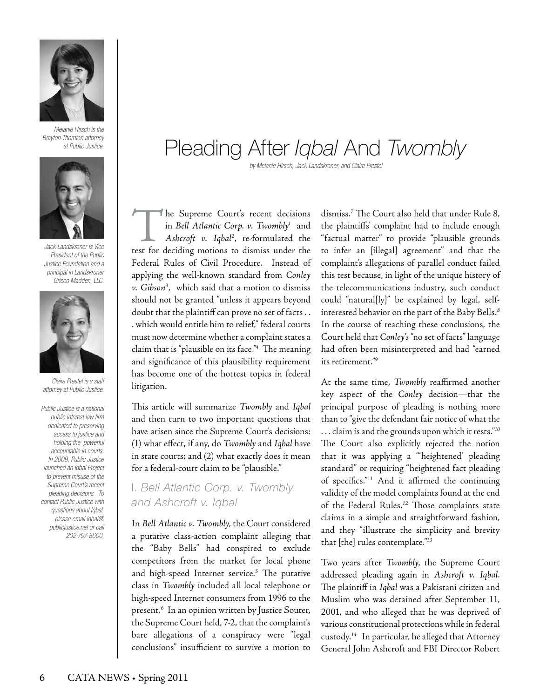

*Melanie Hirsch is the Brayton-Thornton attorney at Public Justice.*



*Jack Landskroner is Vice President of the Public Justice Foundation and a principal in Landskroner Grieco Madden, LLC.*



*Claire Prestel is a staff attorney at Public Justice.*

*Public Justice is a national public interest law firm dedicated to preserving access to justice and holding the powerful accountable in courts. In 2009, Public Justice launched an Iqbal Project to prevent misuse of the Supreme Court's recent pleading decisions. To contact Public Justice with questions about Iqbal, please email iqbal@ publicjustice.net or call 202-797-8600.* 

# Pleading After *Iqbal* And *Twombly*

*by Melanie Hirsch, Jack Landskroner, and Claire Prestel* 

The Supreme Court's recent decisions in *Bell Atlantic Corp. v. Twombly1* and *Ashcroft v. Iqbal2* , re-formulated the test for deciding motions to dismiss under the Federal Rules of Civil Procedure. Instead of applying the well-known standard from *Conley v. Gibson3* , which said that a motion to dismiss should not be granted "unless it appears beyond doubt that the plaintiff can prove no set of facts . . . which would entitle him to relief," federal courts must now determine whether a complaint states a claim that is "plausible on its face."*<sup>4</sup>* The meaning and significance of this plausibility requirement has become one of the hottest topics in federal litigation.

This article will summarize *Twombly* and *Iqbal*  and then turn to two important questions that have arisen since the Supreme Court's decisions: (1) what effect, if any, do *Twombly* and *Iqbal* have in state courts; and (2) what exactly does it mean for a federal-court claim to be "plausible."

## I. *Bell Atlantic Corp. v. Twombly and Ashcroft v. Iqbal*

In *Bell Atlantic v. Twombly*, the Court considered a putative class-action complaint alleging that the "Baby Bells" had conspired to exclude competitors from the market for local phone and high-speed Internet service.*<sup>5</sup>* The putative class in *Twombly* included all local telephone or high-speed Internet consumers from 1996 to the present.*<sup>6</sup>* In an opinion written by Justice Souter, the Supreme Court held, 7-2, that the complaint's bare allegations of a conspiracy were "legal conclusions" insufficient to survive a motion to

dismiss.*<sup>7</sup>* The Court also held that under Rule 8, the plaintiffs' complaint had to include enough "factual matter" to provide "plausible grounds to infer an [illegal] agreement" and that the complaint's allegations of parallel conduct failed this test because, in light of the unique history of the telecommunications industry, such conduct could "natural[ly]" be explained by legal, selfinterested behavior on the part of the Baby Bells.*<sup>8</sup>* In the course of reaching these conclusions, the Court held that *Conley's* "no set of facts" language had often been misinterpreted and had "earned its retirement."*<sup>9</sup>*

At the same time, *Twombly* reaffirmed another key aspect of the *Conley* decision—that the principal purpose of pleading is nothing more than to "give the defendant fair notice of what the . . . claim is and the grounds upon which it rests."*<sup>10</sup>* The Court also explicitly rejected the notion that it was applying a "'heightened' pleading standard" or requiring "heightened fact pleading of specifics."11 And it affirmed the continuing validity of the model complaints found at the end of the Federal Rules.*12* Those complaints state claims in a simple and straightforward fashion, and they "illustrate the simplicity and brevity that [the] rules contemplate."*<sup>13</sup>*

Two years after *Twombly*, the Supreme Court addressed pleading again in *Ashcroft v. Iqbal*. The plaintiff in *Iqbal* was a Pakistani citizen and Muslim who was detained after September 11, 2001, and who alleged that he was deprived of various constitutional protections while in federal custody.*14* In particular, he alleged that Attorney General John Ashcroft and FBI Director Robert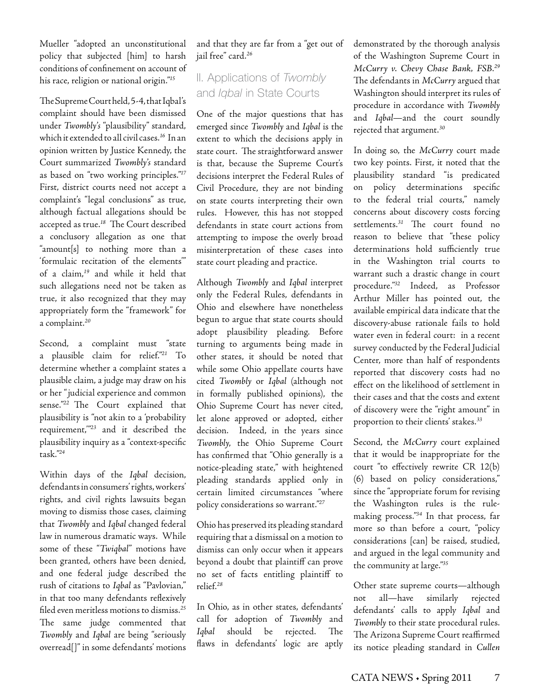Mueller "adopted an unconstitutional policy that subjected [him] to harsh conditions of confinement on account of his race, religion or national origin."*<sup>15</sup>*

The Supreme Court held, 5-4, that Iqbal's complaint should have been dismissed under *Twombly's* "plausibility" standard, which it extended to all civil cases.*16* In an opinion written by Justice Kennedy, the Court summarized *Twombly's* standard as based on "two working principles."*<sup>17</sup>* First, district courts need not accept a complaint's "legal conclusions" as true, although factual allegations should be accepted as true.*18* The Court described a conclusory allegation as one that "amount[s] to nothing more than a 'formulaic recitation of the elements'" of a claim,*19* and while it held that such allegations need not be taken as true, it also recognized that they may appropriately form the "framework" for a complaint.*<sup>20</sup>*

Second, a complaint must "state a plausible claim for relief."*21* To determine whether a complaint states a plausible claim, a judge may draw on his or her " judicial experience and common sense."*22* The Court explained that plausibility is "not akin to a 'probability requirement,'"*23* and it described the plausibility inquiry as a "context-specific task."*<sup>24</sup>*

Within days of the *Iqbal* decision, defendants in consumers' rights, workers' rights, and civil rights lawsuits began moving to dismiss those cases, claiming that *Twombly* and *Iqbal* changed federal law in numerous dramatic ways. While some of these "*Twiqbal*" motions have been granted, others have been denied, and one federal judge described the rush of citations to *Iqbal* as "Pavlovian," in that too many defendants reflexively filed even meritless motions to dismiss.*<sup>25</sup>* The same judge commented that *Twombly* and *Iqbal* are being "seriously overread[]" in some defendants' motions

and that they are far from a "get out of jail free" card.*<sup>26</sup>*

# II. Applications of *Twombly* and *Iqbal* in State Courts

One of the major questions that has emerged since *Twombly* and *Iqbal* is the extent to which the decisions apply in state court. The straightforward answer is that, because the Supreme Court's decisions interpret the Federal Rules of Civil Procedure, they are not binding on state courts interpreting their own rules. However, this has not stopped defendants in state court actions from attempting to impose the overly broad misinterpretation of these cases into state court pleading and practice.

Although *Twombly* and *Iqbal* interpret only the Federal Rules, defendants in Ohio and elsewhere have nonetheless begun to argue that state courts should adopt plausibility pleading. Before turning to arguments being made in other states, it should be noted that while some Ohio appellate courts have cited *Twombly* or *Iqbal* (although not in formally published opinions), the Ohio Supreme Court has never cited, let alone approved or adopted, either decision. Indeed, in the years since *Twombly*, the Ohio Supreme Court has confirmed that "Ohio generally is a notice-pleading state," with heightened pleading standards applied only in certain limited circumstances "where policy considerations so warrant."*<sup>27</sup>*

Ohio has preserved its pleading standard requiring that a dismissal on a motion to dismiss can only occur when it appears beyond a doubt that plaintiff can prove no set of facts entitling plaintiff to relief.*<sup>28</sup>*

In Ohio, as in other states, defendants' call for adoption of *Twombly* and *Iqbal* should be rejected. The flaws in defendants' logic are aptly demonstrated by the thorough analysis of the Washington Supreme Court in *McCurry v. Chevy Chase Bank, FSB*. *29*  The defendants in *McCurry* argued that Washington should interpret its rules of procedure in accordance with *Twombly* and *Iqbal*—and the court soundly rejected that argument.*<sup>30</sup>*

In doing so, the *McCurry* court made two key points. First, it noted that the plausibility standard "is predicated on policy determinations specific to the federal trial courts," namely concerns about discovery costs forcing settlements.*31* The court found no reason to believe that "these policy determinations hold sufficiently true in the Washington trial courts to warrant such a drastic change in court procedure."*32* Indeed, as Professor Arthur Miller has pointed out, the available empirical data indicate that the discovery-abuse rationale fails to hold water even in federal court: in a recent survey conducted by the Federal Judicial Center, more than half of respondents reported that discovery costs had no effect on the likelihood of settlement in their cases and that the costs and extent of discovery were the "right amount" in proportion to their clients' stakes.*<sup>33</sup>*

Second, the *McCurry* court explained that it would be inappropriate for the court "to effectively rewrite CR 12(b) (6) based on policy considerations," since the "appropriate forum for revising the Washington rules is the rulemaking process."*34* In that process, far more so than before a court, "policy considerations [can] be raised, studied, and argued in the legal community and the community at large."*<sup>35</sup>*

Other state supreme courts—although not all—have similarly rejected defendants' calls to apply *Iqbal* and *Twombly* to their state procedural rules. The Arizona Supreme Court reaffirmed its notice pleading standard in *Cullen*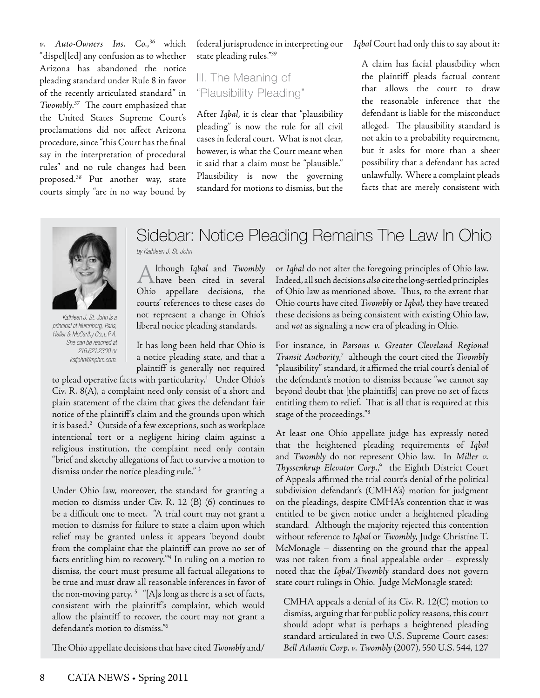*v. Auto-Owners Ins. Co.*, *<sup>36</sup>* which "dispel[led] any confusion as to whether Arizona has abandoned the notice pleading standard under Rule 8 in favor of the recently articulated standard" in *Twombly*. *<sup>37</sup>* The court emphasized that the United States Supreme Court's proclamations did not affect Arizona procedure, since "this Court has the final say in the interpretation of procedural rules" and no rule changes had been proposed.*38* Put another way, state courts simply "are in no way bound by

federal jurisprudence in interpreting our state pleading rules."*<sup>39</sup>*

## III. The Meaning of "Plausibility Pleading"

After *Iqbal*, it is clear that "plausibility pleading" is now the rule for all civil cases in federal court. What is not clear, however, is what the Court meant when it said that a claim must be "plausible." Plausibility is now the governing standard for motions to dismiss, but the *Iqbal* Court had only this to say about it:

A claim has facial plausibility when the plaintiff pleads factual content that allows the court to draw the reasonable inference that the defendant is liable for the misconduct alleged. The plausibility standard is not akin to a probability requirement, but it asks for more than a sheer possibility that a defendant has acted unlawfully. Where a complaint pleads facts that are merely consistent with



*Kathleen J. St. John is a principal at Nurenberg, Paris, Heller & McCarthy Co.,L.P.A. She can be reached at 216.621.2300 or kstjohn@nphm.com.*

# Sidebar: Notice Pleading Remains The Law In Ohio *by Kathleen J. St. John*

A lthough Iqbal and Twombly<br>have been cited in several lthough *Iqbal* and *Twombly* Ohio appellate decisions, the courts' references to these cases do not represent a change in Ohio's liberal notice pleading standards.

It has long been held that Ohio is a notice pleading state, and that a plaintiff is generally not required

to plead operative facts with particularity.<sup>1</sup> Under Ohio's Civ. R. 8(A), a complaint need only consist of a short and plain statement of the claim that gives the defendant fair notice of the plaintiff's claim and the grounds upon which it is based.2 Outside of a few exceptions, such as workplace intentional tort or a negligent hiring claim against a religious institution, the complaint need only contain "brief and sketchy allegations of fact to survive a motion to dismiss under the notice pleading rule." 3

Under Ohio law, moreover, the standard for granting a motion to dismiss under Civ. R. 12 (B) (6) continues to be a difficult one to meet. "A trial court may not grant a motion to dismiss for failure to state a claim upon which relief may be granted unless it appears 'beyond doubt from the complaint that the plaintiff can prove no set of facts entitling him to recovery.'"4 In ruling on a motion to dismiss, the court must presume all factual allegations to be true and must draw all reasonable inferences in favor of the non-moving party.<sup>5</sup> "[A]s long as there is a set of facts, consistent with the plaintiff's complaint, which would allow the plaintiff to recover, the court may not grant a defendant's motion to dismiss."6

The Ohio appellate decisions that have cited *Twombly* and/

or *Iqbal* do not alter the foregoing principles of Ohio law. Indeed, all such decisions *also* cite the long-settled principles of Ohio law as mentioned above. Thus, to the extent that Ohio courts have cited *Twombly* or *Iqbal,* they have treated these decisions as being consistent with existing Ohio law, and *not* as signaling a new era of pleading in Ohio.

For instance, in *Parsons v. Greater Cleveland Regional*  Transit Authority,<sup>7</sup> although the court cited the *Twombly* "plausibility" standard, it affirmed the trial court's denial of the defendant's motion to dismiss because "we cannot say beyond doubt that [the plaintiffs] can prove no set of facts entitling them to relief. That is all that is required at this stage of the proceedings."8

At least one Ohio appellate judge has expressly noted that the heightened pleading requirements of *Iqbal*  and *Twombly* do not represent Ohio law. In *Miller v. Thyssenkrup Elevator Corp.*, 9 the Eighth District Court of Appeals affirmed the trial court's denial of the political subdivision defendant's (CMHA's) motion for judgment on the pleadings, despite CMHA's contention that it was entitled to be given notice under a heightened pleading standard. Although the majority rejected this contention without reference to *Iqbal* or *Twombly*, Judge Christine T. McMonagle – dissenting on the ground that the appeal was not taken from a final appealable order – expressly noted that the *Iqbal/Twombly* standard does not govern state court rulings in Ohio. Judge McMonagle stated:

CMHA appeals a denial of its Civ. R. 12(C) motion to dismiss, arguing that for public policy reasons, this court should adopt what is perhaps a heightened pleading standard articulated in two U.S. Supreme Court cases: *Bell Atlantic Corp. v. Twombly* (2007), 550 U.S. 544, 127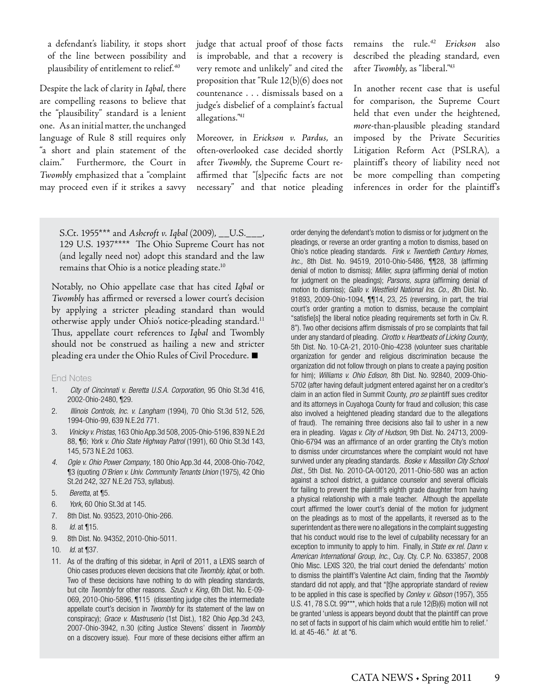a defendant's liability, it stops short of the line between possibility and plausibility of entitlement to relief.*<sup>40</sup>*

Despite the lack of clarity in *Iqbal*, there are compelling reasons to believe that the "plausibility" standard is a lenient one. As an initial matter, the unchanged language of Rule 8 still requires only "a short and plain statement of the claim." Furthermore, the Court in *Twombly* emphasized that a "complaint may proceed even if it strikes a savvy judge that actual proof of those facts is improbable, and that a recovery is very remote and unlikely" and cited the proposition that "Rule 12(b)(6) does not countenance . . . dismissals based on a judge's disbelief of a complaint's factual allegations."*<sup>41</sup>*

Moreover, in *Erickson v. Pardus*, an often-overlooked case decided shortly after *Twombly*, the Supreme Court reaffirmed that "[s]pecific facts are not necessary" and that notice pleading remains the rule.*<sup>42</sup> Erickson* also described the pleading standard, even after *Twombly*, as "liberal."*<sup>43</sup>*

In another recent case that is useful for comparison, the Supreme Court held that even under the heightened, *more*-than-plausible pleading standard imposed by the Private Securities Litigation Reform Act (PSLRA), a plaintiff's theory of liability need not be more compelling than competing inferences in order for the plaintiff's

S.Ct. 1955\*\*\* and *Ashcroft v. Iqbal* (2009), \_\_U.S.\_\_\_, 129 U.S. 1937\*\*\*\* The Ohio Supreme Court has not (and legally need not) adopt this standard and the law remains that Ohio is a notice pleading state.<sup>10</sup>

Notably, no Ohio appellate case that has cited *Iqbal* or *Twombly* has affirmed or reversed a lower court's decision by applying a stricter pleading standard than would otherwise apply under Ohio's notice-pleading standard.<sup>11</sup> Thus, appellate court references to *Iqbal* and Twombly should not be construed as hailing a new and stricter pleading era under the Ohio Rules of Civil Procedure. **■**

#### End Notes

- 1. *City of Cincinnati v. Beretta U.S.A. Corporation*, 95 Ohio St.3d 416, 2002-Ohio-2480, ¶29.
- 2. *Illinois Controls, Inc. v. Langham* (1994), 70 Ohio St.3d 512, 526, 1994-Ohio-99, 639 N.E.2d 771.
- 3. *Vinicky v. Pristas*, 163 Ohio App.3d 508, 2005-Ohio-5196, 839 N.E.2d 88, ¶6; *York v. Ohio State Highway Patrol* (1991), 60 Ohio St.3d 143, 145, 573 N.E.2d 1063.
- *4. Ogle v. Ohio Power Company*, 180 Ohio App.3d 44, 2008-Ohio-7042, ¶3 (quoting *O'Brien v. Univ. Community Tenants Union* (1975), 42 Ohio St.2d 242, 327 N.E.2d 753, syllabus).
- 5. *Beretta*, at ¶5.
- 6. *York*, 60 Ohio St.3d at 145.
- 7. 8th Dist. No. 93523, 2010-Ohio-266.
- 8. *Id*. at ¶15.
- 9. 8th Dist. No. 94352, 2010-Ohio-5011.
- 10. *Id*. at ¶37.
- 11. As of the drafting of this sidebar, in April of 2011, a LEXIS search of Ohio cases produces eleven decisions that cite *Twombly, Iqbal*, or both. Two of these decisions have nothing to do with pleading standards, but cite *Twombly* for other reasons. *Szuch v. King*, 6th Dist. No. E-09- 069, 2010-Ohio-5896, ¶115 (dissenting judge cites the intermediate appellate court's decision in *Twombly* for its statement of the law on conspiracy); *Grace v. Mastruserio* (1st Dist.), 182 Ohio App.3d 243, 2007-Ohio-3942, n.30 (citing Justice Stevens' dissent in *Twombly*  on a discovery issue). Four more of these decisions either affirm an

order denying the defendant's motion to dismiss or for judgment on the pleadings, or reverse an order granting a motion to dismiss, based on Ohio's notice pleading standards. *Fink v. Twentieth Century Homes, Inc.,* 8th Dist. No. 94519, 2010-Ohio-5486, ¶¶28, 38 (affirming denial of motion to dismiss); *Miller, supra* (affirming denial of motion for judgment on the pleadings); *Parsons, supra* (affirming denial of motion to dismiss); *Gallo v. Westfield National Ins. Co., 8*th Dist. No. 91893, 2009-Ohio-1094, ¶¶14, 23, 25 (reversing, in part, the trial court's order granting a motion to dismiss, because the complaint "satisfie[s] the liberal notice pleading requirements set forth in Civ. R. 8"). Two other decisions affirm dismissals of pro se complaints that fail under any standard of pleading. *Cirotto v. Heartbeats of Licking County*, 5th Dist. No. 10-CA-21, 2010-Ohio-4238 (volunteer sues charitable organization for gender and religious discrimination because the organization did not follow through on plans to create a paying position for him); *Williams v. Ohio Edison,* 8th Dist. No. 92840, 2009-Ohio-5702 (after having default judgment entered against her on a creditor's claim in an action filed in Summit County, *pro se* plaintiff sues creditor and its attorneys in Cuyahoga County for fraud and collusion; this case also involved a heightened pleading standard due to the allegations of fraud). The remaining three decisions also fail to usher in a new era in pleading. *Vagas v. City of Hudson*, 9th Dist. No. 24713, 2009- Ohio-6794 was an affirmance of an order granting the City's motion to dismiss under circumstances where the complaint would not have survived under any pleading standards. *Boske v. Massillon City School Dist.*, 5th Dist. No. 2010-CA-00120, 2011-Ohio-580 was an action against a school district, a guidance counselor and several officials for failing to prevent the plaintiff's eighth grade daughter from having a physical relationship with a male teacher. Although the appellate court affirmed the lower court's denial of the motion for judgment on the pleadings as to most of the appellants, it reversed as to the superintendent as there were no allegations in the complaint suggesting that his conduct would rise to the level of culpability necessary for an exception to immunity to apply to him. Finally, in *State ex rel. Dann v. American International Group, Inc.*, Cuy. Cty. C.P. No. 633857, 2008 Ohio Misc. LEXIS 320, the trial court denied the defendants' motion to dismiss the plaintiff's Valentine Act claim, finding that the *Twombly*  standard did not apply, and that "[t]he appropriate standard of review to be applied in this case is specified by *Conley v. Gibson* (1957), 355 U.S. 41, 78 S.Ct. 99\*\*\*, which holds that a rule 12(B)(6) motion will not be granted 'unless is appears beyond doubt that the plaintiff can prove no set of facts in support of his claim which would entitle him to relief.' Id. at 45-46." *Id.* at \*6.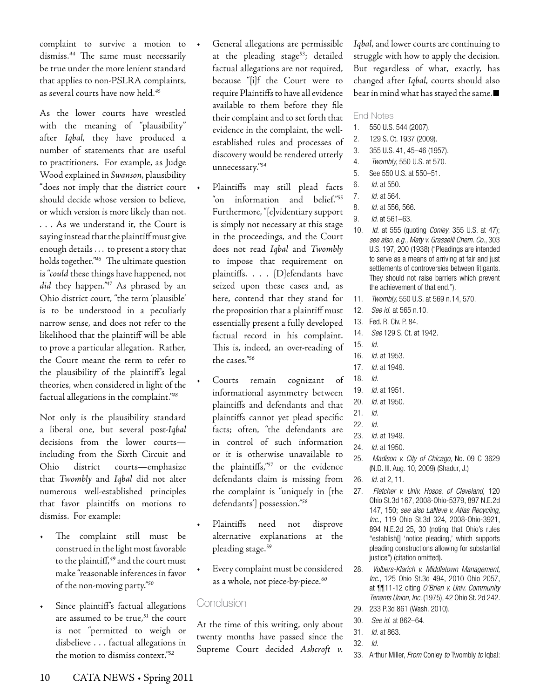complaint to survive a motion to dismiss.*44* The same must necessarily be true under the more lenient standard that applies to non-PSLRA complaints, as several courts have now held.*<sup>45</sup>*

As the lower courts have wrestled with the meaning of "plausibility" after *Iqbal*, they have produced a number of statements that are useful to practitioners. For example, as Judge Wood explained in *Swanson*, plausibility "does not imply that the district court should decide whose version to believe, or which version is more likely than not. . . . As we understand it, the Court is saying instead that the plaintiff must give enough details . . . to present a story that holds together."*46* The ultimate question is "*could* these things have happened, not *did* they happen."*47* As phrased by an Ohio district court, "the term 'plausible' is to be understood in a peculiarly narrow sense, and does not refer to the likelihood that the plaintiff will be able to prove a particular allegation. Rather, the Court meant the term to refer to the plausibility of the plaintiff's legal theories, when considered in light of the factual allegations in the complaint."*<sup>48</sup>*

Not only is the plausibility standard a liberal one, but several post-*Iqbal*  decisions from the lower courts including from the Sixth Circuit and Ohio district courts—emphasize that *Twombly* and *Iqbal* did not alter numerous well-established principles that favor plaintiffs on motions to dismiss. For example:

- • The complaint still must be construed in the light most favorable to the plaintiff,*49* and the court must make "reasonable inferences in favor of the non-moving party."*<sup>50</sup>*
- Since plaintiff's factual allegations are assumed to be true,*51* the court is not "permitted to weigh or disbelieve . . . factual allegations in the motion to dismiss context."*<sup>52</sup>*
- General allegations are permissible at the pleading stage*53*; detailed factual allegations are not required, because "[i]f the Court were to require Plaintiffs to have all evidence available to them before they file their complaint and to set forth that evidence in the complaint, the wellestablished rules and processes of discovery would be rendered utterly unnecessary."*<sup>54</sup>*
- Plaintiffs may still plead facts "on information and belief."*<sup>55</sup>* Furthermore, "[e]videntiary support is simply not necessary at this stage in the proceedings, and the Court does not read *Iqbal* and *Twombly*  to impose that requirement on plaintiffs. . . . [D]efendants have seized upon these cases and, as here, contend that they stand for the proposition that a plaintiff must essentially present a fully developed factual record in his complaint. This is, indeed, an over-reading of the cases."*<sup>56</sup>*
- Courts remain cognizant of informational asymmetry between plaintiffs and defendants and that plaintiffs cannot yet plead specific facts; often, "the defendants are in control of such information or it is otherwise unavailable to the plaintiffs,"*57* or the evidence defendants claim is missing from the complaint is "uniquely in [the defendants'] possession."*<sup>58</sup>*
- Plaintiffs need not disprove alternative explanations at the pleading stage.*<sup>59</sup>*
- Every complaint must be considered as a whole, not piece-by-piece.*<sup>60</sup>*

### Conclusion

At the time of this writing, only about twenty months have passed since the Supreme Court decided *Ashcroft v.* 

*Iqbal*, and lower courts are continuing to struggle with how to apply the decision. But regardless of what, exactly, has changed after *Iqbal*, courts should also bear in mind what has stayed the same.**■**

#### End Notes

- 1. 550 U.S. 544 (2007).
- 2. 129 S. Ct. 1937 (2009).
- 3. 355 U.S. 41, 45–46 (1957).
- 4. *Twombly*, 550 U.S. at 570.
- 5. See 550 U.S. at 550–51.
- 6. *Id.* at 550.
- 7. *Id.* at 564.
- 8. *Id.* at 556, 566.
- 9. *Id*. at 561–63.
- 10. *Id.* at 555 (quoting *Conley*, 355 U.S. at 47); *see also, e.g., Maty v. Grasselli Chem. Co.*, 303 U.S. 197, 200 (1938) ("Pleadings are intended to serve as a means of arriving at fair and just settlements of controversies between litigants. They should not raise barriers which prevent the achievement of that end.").
- 11. *Twombly,* 550 U.S. at 569 n.14, 570.
- 12. *See id.* at 565 n.10.
- 13. Fed. R. Civ. P. 84.
- 14. *See* 129 S. Ct. at 1942.
- 15. *Id.*
- 16. *Id.* at 1953.
- 17. *Id.* at 1949.
- 18. *Id.*
- 19. *Id.* at 1951.
- 20. *Id.* at 1950.
- 21. *Id.*
- 22. *Id.*
- 23. *Id.* at 1949.
- 24. *Id.* at 1950.
- 25. *Madison v. City of Chicago*, No. 09 C 3629 (N.D. Ill. Aug. 10, 2009) (Shadur, J.)
- 26. *Id.* at 2, 11.
- 27. *Fletcher v. Univ. Hosps. of Cleveland,* 120 Ohio St.3d 167, 2008-Ohio-5379, 897 N.E.2d 147, 150; *see also LaNeve v. Atlas Recycling, Inc.,* 119 Ohio St.3d 324, 2008-Ohio-3921, 894 N.E.2d 25, 30 (noting that Ohio's rules "establish[] 'notice pleading,' which supports pleading constructions allowing for substantial justice") (citation omitted).
- 28. *Volbers-Klarich v. Middletown Management, Inc.*, 125 Ohio St.3d 494, 2010 Ohio 2057, at ¶¶11-12 citing *O'Brien v. Univ. Community Tenants Union, Inc.* (1975), 42 Ohio St. 2d 242.
- 29. 233 P.3d 861 (Wash. 2010).
- 30. *See id.* at 862–64.
- 31. *Id.* at 863.
- 32. *Id.*
- 33. Arthur Miller, *From* Conley *to* Twombly *to* Iqbal: